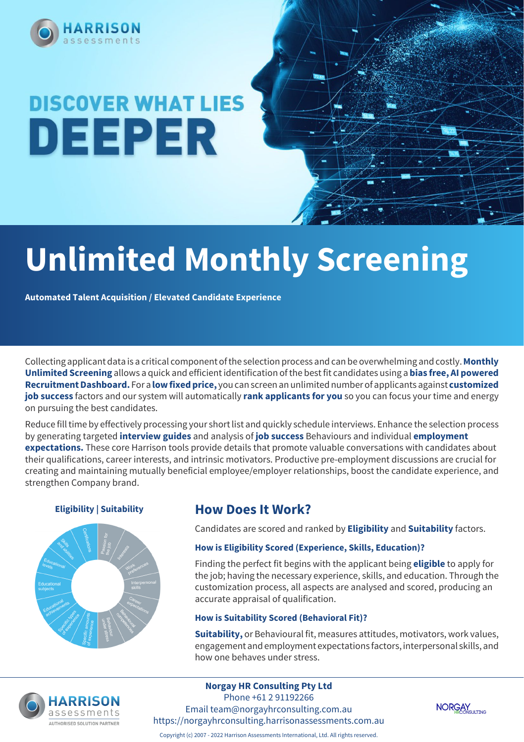

# **DISCOVER WHAT LIES** DEEPER

# **Unlimited Monthly Screening**

**Automated Talent Acquisition / Elevated Candidate Experience**

Collecting applicant data is a critical component of the selection process and can be overwhelming and costly. **Monthly Unlimited Screening** allows a quick and efficient identification of the best fit candidates using a **bias free, AI powered Recruitment Dashboard.** For a **low fixed price,** you can screen an unlimited number of applicants against **customized job success** factors and our system will automatically **rank applicants for you** so you can focus your time and energy on pursuing the best candidates.

Reduce fill time by effectively processing your short list and quickly schedule interviews. Enhance the selection process by generating targeted **interview guides** and analysis of **job success** Behaviours and individual **employment expectations.** These core Harrison tools provide details that promote valuable conversations with candidates about their qualifications, career interests, and intrinsic motivators. Productive pre-employment discussions are crucial for creating and maintaining mutually beneficial employee/employer relationships, boost the candidate experience, and strengthen Company brand.



### **Eligibility | Suitability | How Does It Work?**

Candidates are scored and ranked by **Eligibility** and **Suitability** factors.

### **How is Eligibility Scored (Experience, Skills, Education)?**

Finding the perfect fit begins with the applicant being **eligible** to apply for the job; having the necessary experience, skills, and education. Through the customization process, all aspects are analysed and scored, producing an accurate appraisal of qualification.

### **How is Suitability Scored (Behavioral Fit)?**

**Suitability,** or Behavioural fit, measures attitudes, motivators, work values, engagement and employment expectations factors, interpersonal skills, and how one behaves under stress.



**Norgay HR Consulting Pty Ltd** Phone +61 2 91192266 Email team@norgayhrconsulting.com.au https://norgayhrconsulting.harrisonassessments.com.au